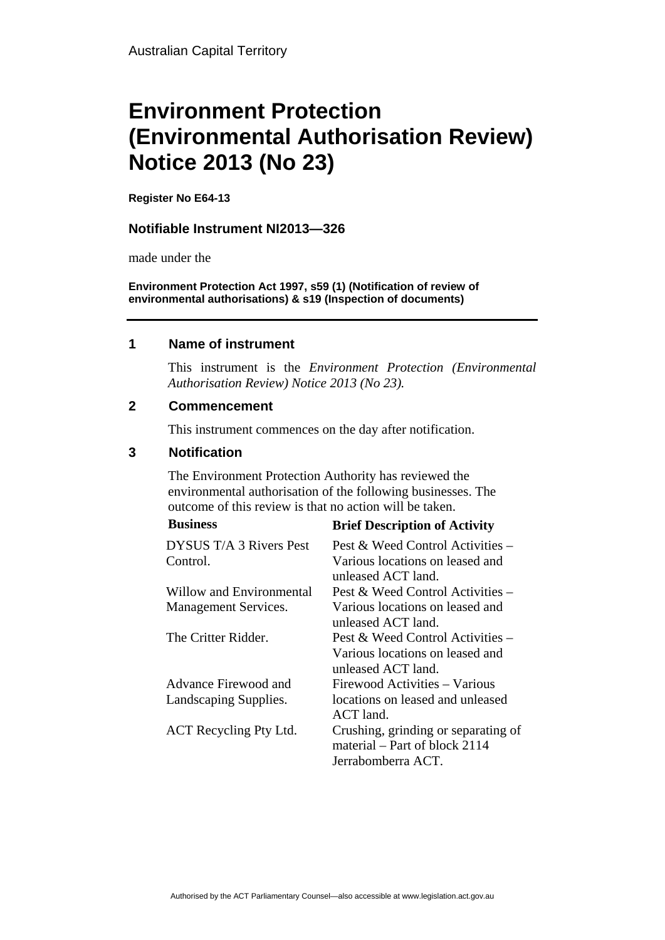# **Environment Protection (Environmental Authorisation Review) Notice 2013 (No 23)**

**Register No E64-13**

### **Notifiable Instrument NI2013—326**

made under the

**Environment Protection Act 1997, s59 (1) (Notification of review of environmental authorisations) & s19 (Inspection of documents)**

#### **1 Name of instrument**

This instrument is the *Environment Protection (Environmental Authorisation Review) Notice 2013 (No 23).* 

### **2 Commencement**

This instrument commences on the day after notification.

### **3 Notification**

The Environment Protection Authority has reviewed the environmental authorisation of the following businesses. The outcome of this review is that no action will be taken. **Business Brief Description of Activity** 

|                                     | DITCI DESCRIPTION OF ACTIVITY                                                               |
|-------------------------------------|---------------------------------------------------------------------------------------------|
| DYSUS T/A 3 Rivers Pest<br>Control. | Pest & Weed Control Activities $-$<br>Various locations on leased and<br>unleased ACT land. |
| Willow and Environmental            | Pest & Weed Control Activities –                                                            |
| <b>Management Services.</b>         | Various locations on leased and<br>unleased ACT land.                                       |
| The Critter Ridder.                 | Pest & Weed Control Activities $-$<br>Various locations on leased and<br>unleased ACT land. |
| Advance Firewood and                | Firewood Activities – Various                                                               |
| Landscaping Supplies.               | locations on leased and unleased<br>$ACT$ land.                                             |
| ACT Recycling Pty Ltd.              | Crushing, grinding or separating of<br>material – Part of block 2114<br>Jerrabomberra ACT.  |